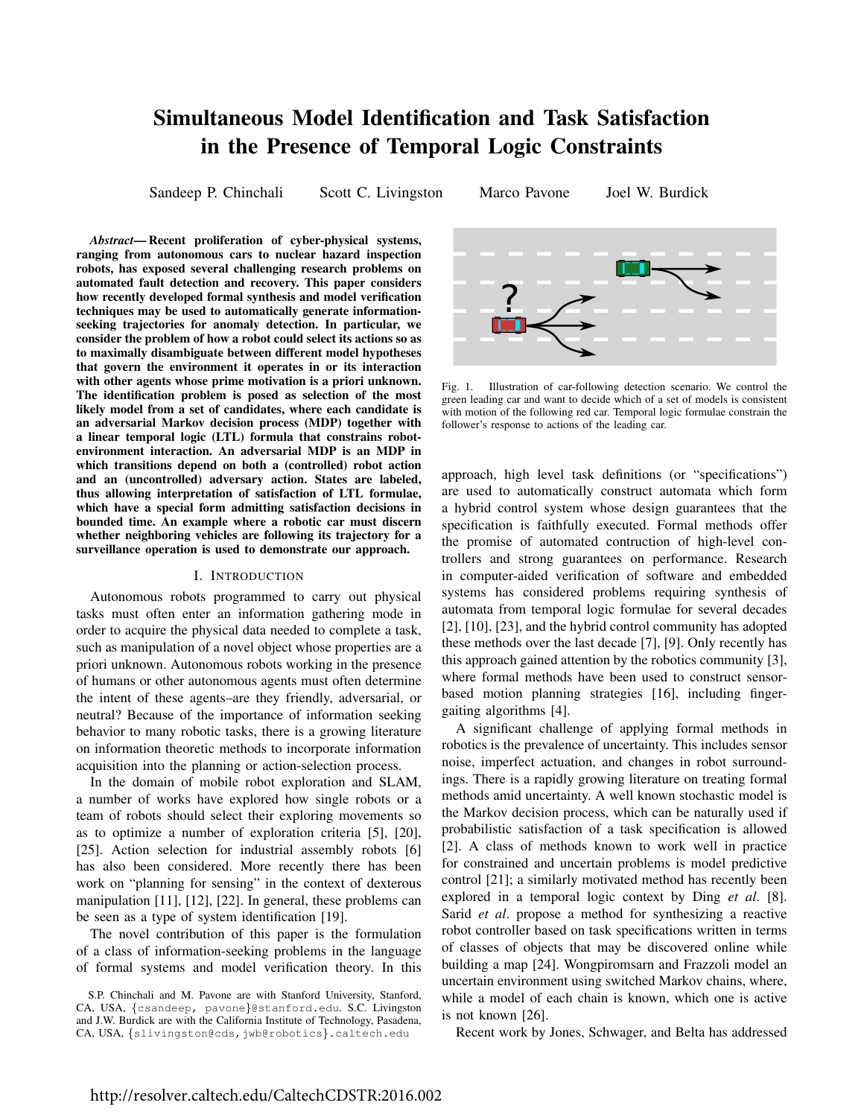# Simultaneous Model Identification and Task Satisfaction in the Presence of Temporal Logic Constraints

Sandeep P. Chinchali Scott C. Livingston Marco Pavone Joel W. Burdick

*Abstract*— Recent proliferation of cyber-physical systems, ranging from autonomous cars to nuclear hazard inspection robots, has exposed several challenging research problems on automated fault detection and recovery. This paper considers how recently developed formal synthesis and model verification techniques may be used to automatically generate informationseeking trajectories for anomaly detection. In particular, we consider the problem of how a robot could select its actions so as to maximally disambiguate between different model hypotheses that govern the environment it operates in or its interaction with other agents whose prime motivation is a priori unknown. The identification problem is posed as selection of the most likely model from a set of candidates, where each candidate is an adversarial Markov decision process (MDP) together with a linear temporal logic (LTL) formula that constrains robotenvironment interaction. An adversarial MDP is an MDP in which transitions depend on both a (controlled) robot action and an (uncontrolled) adversary action. States are labeled, thus allowing interpretation of satisfaction of LTL formulae, which have a special form admitting satisfaction decisions in bounded time. An example where a robotic car must discern whether neighboring vehicles are following its trajectory for a surveillance operation is used to demonstrate our approach. antimation the teacher and the content in the species of the content in the species of the matrix (a) the species of the matrix (a) the species of the matrix (a) the small details are seen in the small details and the posi

## I. INTRODUCTION

Autonomous robots programmed to carry out physical tasks must often enter an information gathering mode in order to acquire the physical data needed to complete a task, such as manipulation of a novel object whose properties are a priori unknown. Autonomous robots working in the presence of humans or other autonomous agents must often determine the intent of these agents–are they friendly, adversarial, or neutral? Because of the importance of information seeking behavior to many robotic tasks, there is a growing literature on information theoretic methods to incorporate information acquisition into the planning or action-selection process.

In the domain of mobile robot exploration and SLAM, a number of works have explored how single robots or a team of robots should select their exploring movements so as to optimize a number of exploration criteria [5], [20], [25]. Action selection for industrial assembly robots [6] has also been considered. More recently there has been work on "planning for sensing" in the context of dexterous manipulation [11], [12], [22]. In general, these problems can be seen as a type of system identification [19].

The novel contribution of this paper is the formulation of a class of information-seeking problems in the language of formal systems and model verification theory. In this



Fig. 1. Illustration of car-following detection scenario. We control the green leading car and want to decide which of a set of models is consistent with motion of the following red car. Temporal logic formulae constrain the follower's response to actions of the leading car.

approach, high level task definitions (or "specifications") are used to automatically construct automata which form a hybrid control system whose design guarantees that the specification is faithfully executed. Formal methods offer the promise of automated contruction of high-level controllers and strong guarantees on performance. Research in computer-aided verification of software and embedded systems has considered problems requiring synthesis of automata from temporal logic formulae for several decades [2], [10], [23], and the hybrid control community has adopted these methods over the last decade [7], [9]. Only recently has this approach gained attention by the robotics community [3], where formal methods have been used to construct sensorbased motion planning strategies [16], including fingergaiting algorithms [4].

A significant challenge of applying formal methods in robotics is the prevalence of uncertainty. This includes sensor noise, imperfect actuation, and changes in robot surroundings. There is a rapidly growing literature on treating formal methods amid uncertainty. A well known stochastic model is the Markov decision process, which can be naturally used if probabilistic satisfaction of a task specification is allowed [2]. A class of methods known to work well in practice for constrained and uncertain problems is model predictive control [21]; a similarly motivated method has recently been explored in a temporal logic context by Ding *et al*. [8]. Sarid *et al*. propose a method for synthesizing a reactive robot controller based on task specifications written in terms of classes of objects that may be discovered online while building a map [24]. Wongpiromsarn and Frazzoli model an uncertain environment using switched Markov chains, where, while a model of each chain is known, which one is active is not known [26].

Recent work by Jones, Schwager, and Belta has addressed

S.P. Chinchali and M. Pavone are with Stanford University, Stanford, CA, USA, {csandeep, pavone}@stanford.edu. S.C. Livingston and J.W. Burdick are with the California Institute of Technology, Pasadena,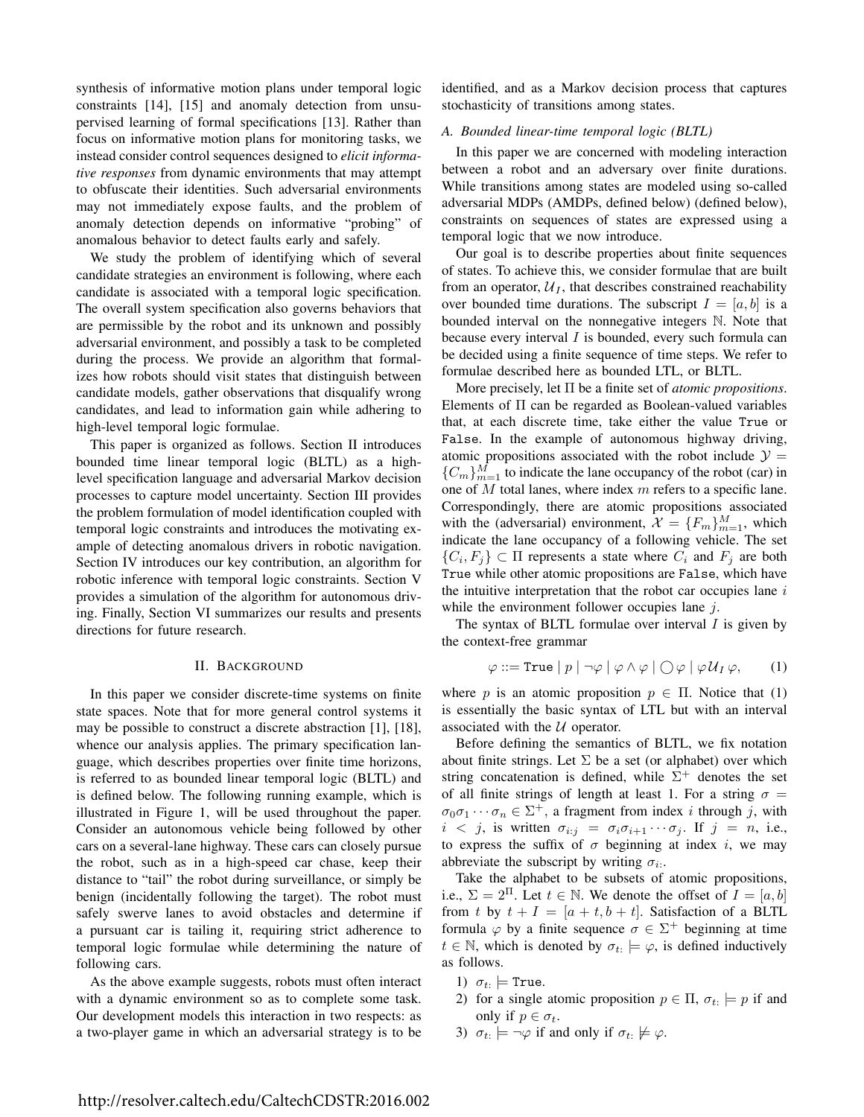synthesis of informative motion plans under temporal logic constraints [14], [15] and anomaly detection from unsupervised learning of formal specifications [13]. Rather than focus on informative motion plans for monitoring tasks, we instead consider control sequences designed to *elicit informative responses* from dynamic environments that may attempt to obfuscate their identities. Such adversarial environments may not immediately expose faults, and the problem of anomaly detection depends on informative "probing" of anomalous behavior to detect faults early and safely.

We study the problem of identifying which of several candidate strategies an environment is following, where each candidate is associated with a temporal logic specification. The overall system specification also governs behaviors that are permissible by the robot and its unknown and possibly adversarial environment, and possibly a task to be completed during the process. We provide an algorithm that formalizes how robots should visit states that distinguish between candidate models, gather observations that disqualify wrong candidates, and lead to information gain while adhering to high-level temporal logic formulae.

This paper is organized as follows. Section II introduces bounded time linear temporal logic (BLTL) as a highlevel specification language and adversarial Markov decision processes to capture model uncertainty. Section III provides the problem formulation of model identification coupled with temporal logic constraints and introduces the motivating example of detecting anomalous drivers in robotic navigation. Section IV introduces our key contribution, an algorithm for robotic inference with temporal logic constraints. Section V provides a simulation of the algorithm for autonomous driving. Finally, Section VI summarizes our results and presents directions for future research.

### II. BACKGROUND

In this paper we consider discrete-time systems on finite state spaces. Note that for more general control systems it may be possible to construct a discrete abstraction [1], [18], whence our analysis applies. The primary specification language, which describes properties over finite time horizons, is referred to as bounded linear temporal logic (BLTL) and is defined below. The following running example, which is illustrated in Figure 1, will be used throughout the paper. Consider an autonomous vehicle being followed by other cars on a several-lane highway. These cars can closely pursue the robot, such as in a high-speed car chase, keep their distance to "tail" the robot during surveillance, or simply be benign (incidentally following the target). The robot must safely swerve lanes to avoid obstacles and determine if a pursuant car is tailing it, requiring strict adherence to temporal logic formulae while determining the nature of following cars.

As the above example suggests, robots must often interact with a dynamic environment so as to complete some task. Our development models this interaction in two respects: as a two-player game in which an adversarial strategy is to be

identified, and as a Markov decision process that captures stochasticity of transitions among states.

## *A. Bounded linear-time temporal logic (BLTL)*

In this paper we are concerned with modeling interaction between a robot and an adversary over finite durations. While transitions among states are modeled using so-called adversarial MDPs (AMDPs, defined below) (defined below), constraints on sequences of states are expressed using a temporal logic that we now introduce.

Our goal is to describe properties about finite sequences of states. To achieve this, we consider formulae that are built from an operator,  $U_I$ , that describes constrained reachability over bounded time durations. The subscript  $I = [a, b]$  is a bounded interval on the nonnegative integers N. Note that because every interval I is bounded, every such formula can be decided using a finite sequence of time steps. We refer to formulae described here as bounded LTL, or BLTL.

More precisely, let Π be a finite set of *atomic propositions*. Elements of  $\Pi$  can be regarded as Boolean-valued variables that, at each discrete time, take either the value True or False. In the example of autonomous highway driving, atomic propositions associated with the robot include  $\mathcal{Y} =$  ${C_m}_{m=1}^M$  to indicate the lane occupancy of the robot (car) in one of  $M$  total lanes, where index  $m$  refers to a specific lane. Correspondingly, there are atomic propositions associated with the (adversarial) environment,  $\mathcal{X} = \{F_m\}_{m=1}^M$ , which indicate the lane occupancy of a following vehicle. The set  $\{C_i, F_j\} \subset \Pi$  represents a state where  $C_i$  and  $F_j$  are both True while other atomic propositions are False, which have the intuitive interpretation that the robot car occupies lane  $i$ while the environment follower occupies lane  $j$ .

The syntax of BLTL formulae over interval  $I$  is given by the context-free grammar

$$
\varphi ::= \text{True} \mid p \mid \neg \varphi \mid \varphi \land \varphi \mid \bigcirc \varphi \mid \varphi \mathcal{U}_I \varphi, \qquad (1)
$$

where p is an atomic proposition  $p \in \Pi$ . Notice that (1) is essentially the basic syntax of LTL but with an interval associated with the  $U$  operator.

Before defining the semantics of BLTL, we fix notation about finite strings. Let  $\Sigma$  be a set (or alphabet) over which string concatenation is defined, while  $\Sigma^+$  denotes the set of all finite strings of length at least 1. For a string  $\sigma =$  $\sigma_0 \sigma_1 \cdots \sigma_n \in \Sigma^+$ , a fragment from index *i* through *j*, with  $i < j$ , is written  $\sigma_{i:j} = \sigma_i \sigma_{i+1} \cdots \sigma_j$ . If  $j = n$ , i.e., to express the suffix of  $\sigma$  beginning at index i, we may abbreviate the subscript by writing  $\sigma_i$ .

Take the alphabet to be subsets of atomic propositions, i.e.,  $\Sigma = 2^{\Pi}$ . Let  $t \in \mathbb{N}$ . We denote the offset of  $I = [a, b]$ from t by  $t + I = [a + t, b + t]$ . Satisfaction of a BLTL formula  $\varphi$  by a finite sequence  $\sigma \in \Sigma^{+}$  beginning at time  $t \in \mathbb{N}$ , which is denoted by  $\sigma_{t} \models \varphi$ , is defined inductively as follows.

- 1)  $\sigma_t$ :  $\models$  True.
- 2) for a single atomic proposition  $p \in \Pi$ ,  $\sigma_t \models p$  if and only if  $p \in \sigma_t$ .
- 3)  $\sigma_{t} \models \neg \varphi$  if and only if  $\sigma_{t} \not\models \varphi$ .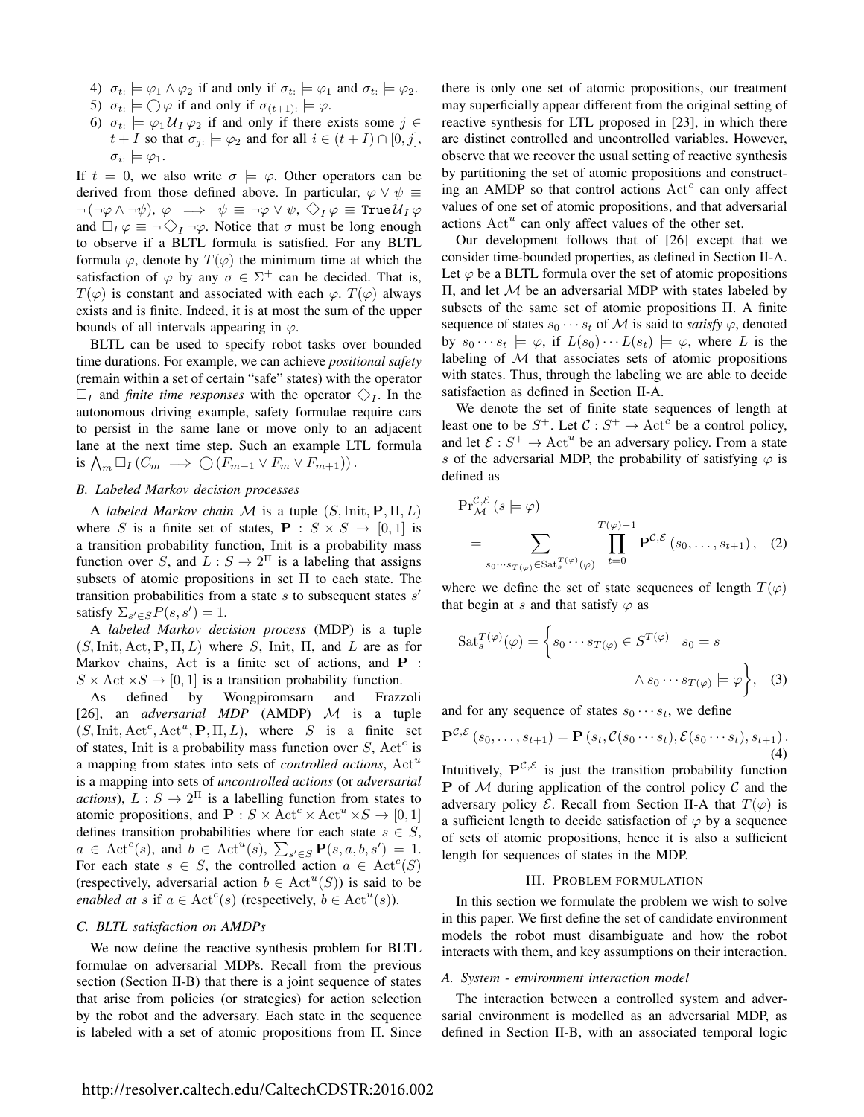- 4)  $\sigma_t \models \varphi_1 \land \varphi_2$  if and only if  $\sigma_t \models \varphi_1$  and  $\sigma_t \models \varphi_2$ .
- 5)  $\sigma_{t} \models \bigcirc \varphi$  if and only if  $\sigma_{(t+1)} \models \varphi$ .
- 6)  $\sigma_t$ :  $\models \varphi_1 \mathcal{U}_I \varphi_2$  if and only if there exists some  $j \in$  $t + I$  so that  $\sigma_{j} \models \varphi_2$  and for all  $i \in (t + I) \cap [0, j],$  $\sigma_{i:} \models \varphi_1.$

If  $t = 0$ , we also write  $\sigma \models \varphi$ . Other operators can be derived from those defined above. In particular,  $\varphi \vee \psi \equiv$  $\neg(\neg\varphi \wedge \neg\psi), \varphi \implies \psi \equiv \neg\varphi \vee \psi, \diamondsuit_I \varphi \equiv \text{True} \mathcal{U}_I \varphi$ and  $\Box_I \varphi \equiv \neg \Diamond_I \neg \varphi$ . Notice that  $\sigma$  must be long enough to observe if a BLTL formula is satisfied. For any BLTL formula  $\varphi$ , denote by  $T(\varphi)$  the minimum time at which the satisfaction of  $\varphi$  by any  $\sigma \in \Sigma^+$  can be decided. That is,  $T(\varphi)$  is constant and associated with each  $\varphi$ .  $T(\varphi)$  always exists and is finite. Indeed, it is at most the sum of the upper bounds of all intervals appearing in  $\varphi$ .

BLTL can be used to specify robot tasks over bounded time durations. For example, we can achieve *positional safety* (remain within a set of certain "safe" states) with the operator  $\square_I$  and *finite time responses* with the operator  $\diamondsuit_I$ . In the autonomous driving example, safety formulae require cars to persist in the same lane or move only to an adjacent lane at the next time step. Such an example LTL formula is  $\bigwedge_m \Box_I (C_m \implies \bigcirc (F_{m-1} \vee F_m \vee F_{m+1}))$ .

## *B. Labeled Markov decision processes*

A *labeled Markov chain* M is a tuple (S,Init, P, Π, L) where S is a finite set of states,  $P : S \times S \rightarrow [0,1]$  is a transition probability function, Init is a probability mass function over S, and  $L: S \to 2^{\Pi}$  is a labeling that assigns subsets of atomic propositions in set Π to each state. The transition probabilities from a state  $s$  to subsequent states  $s'$ satisfy  $\Sigma_{s' \in S} P(s, s') = 1$ .

A *labeled Markov decision process* (MDP) is a tuple  $(S, \text{Init}, \text{Act}, P, \Pi, L)$  where S, Init,  $\Pi$ , and L are as for Markov chains, Act is a finite set of actions, and **P** :  $S \times \text{Act} \times S \rightarrow [0, 1]$  is a transition probability function.

As defined by Wongpiromsarn and Frazzoli [26], an *adversarial MDP* (AMDP) M is a tuple  $(S, \text{Init}, \text{Act}^c, \text{Act}^u, \mathbf{P}, \Pi, L)$ , where S is a finite set of states, Init is a probability mass function over  $S$ , Act<sup>c</sup> is a mapping from states into sets of *controlled actions*, Act<sup>u</sup> is a mapping into sets of *uncontrolled actions* (or *adversarial actions*),  $L: S \to 2^{\Pi}$  is a labelling function from states to atomic propositions, and  $P : S \times \text{Act}^c \times \text{Act}^u \times S \rightarrow [0, 1]$ defines transition probabilities where for each state  $s \in S$ ,  $a \in \text{Act}^c(s)$ , and  $b \in \text{Act}^u(s)$ ,  $\sum_{s' \in S} \mathbf{P}(s, a, b, s') = 1$ . For each state  $s \in S$ , the controlled action  $a \in \text{Act}^c(S)$ (respectively, adversarial action  $b \in \text{Act}^u(S)$ ) is said to be *enabled at* s if  $a \in \text{Act}^c(s)$  (respectively,  $b \in \text{Act}^u(s)$ ).

#### *C. BLTL satisfaction on AMDPs*

We now define the reactive synthesis problem for BLTL formulae on adversarial MDPs. Recall from the previous section (Section II-B) that there is a joint sequence of states that arise from policies (or strategies) for action selection by the robot and the adversary. Each state in the sequence is labeled with a set of atomic propositions from Π. Since there is only one set of atomic propositions, our treatment may superficially appear different from the original setting of reactive synthesis for LTL proposed in [23], in which there are distinct controlled and uncontrolled variables. However, observe that we recover the usual setting of reactive synthesis by partitioning the set of atomic propositions and constructing an AMDP so that control actions  $Act<sup>c</sup>$  can only affect values of one set of atomic propositions, and that adversarial actions  $Act<sup>u</sup>$  can only affect values of the other set.

Our development follows that of [26] except that we consider time-bounded properties, as defined in Section II-A. Let  $\varphi$  be a BLTL formula over the set of atomic propositions Π, and let M be an adversarial MDP with states labeled by subsets of the same set of atomic propositions Π. A finite sequence of states  $s_0 \cdots s_t$  of M is said to *satisfy*  $\varphi$ , denoted by  $s_0 \cdots s_t \models \varphi$ , if  $L(s_0) \cdots L(s_t) \models \varphi$ , where L is the labeling of  $M$  that associates sets of atomic propositions with states. Thus, through the labeling we are able to decide satisfaction as defined in Section II-A.

We denote the set of finite state sequences of length at least one to be  $S^+$ . Let  $C: S^+ \to \text{Act}^c$  be a control policy, and let  $\mathcal{E}: S^+ \to \text{Act}^u$  be an adversary policy. From a state s of the adversarial MDP, the probability of satisfying  $\varphi$  is defined as

$$
\Pr_{\mathcal{M}}^{\mathcal{C},\mathcal{E}}(s \models \varphi)
$$
\n
$$
= \sum_{s_0 \cdots s_{T(\varphi)} \in \text{Sat}_{s}^{T(\varphi)}(\varphi)} \prod_{t=0}^{T(\varphi)-1} \mathbf{P}^{\mathcal{C},\mathcal{E}}(s_0,\ldots,s_{t+1}), \quad (2)
$$

where we define the set of state sequences of length  $T(\varphi)$ that begin at s and that satisfy  $\varphi$  as

$$
\text{Sat}_{s}^{T(\varphi)}(\varphi) = \left\{ s_0 \cdots s_{T(\varphi)} \in S^{T(\varphi)} \mid s_0 = s \right\}
$$

$$
\wedge s_0 \cdots s_{T(\varphi)} \models \varphi \left\}, \quad (3)
$$

and for any sequence of states  $s_0 \cdots s_t$ , we define

$$
\mathbf{P}^{\mathcal{C},\mathcal{E}}(s_0,\ldots,s_{t+1}) = \mathbf{P}(s_t,\mathcal{C}(s_0\cdots s_t),\mathcal{E}(s_0\cdots s_t),s_{t+1}).
$$
\n(4)

Intuitively,  $\mathbf{P}^{\mathcal{C},\mathcal{E}}$  is just the transition probability function **P** of  $M$  during application of the control policy  $C$  and the adversary policy  $\mathcal E$ . Recall from Section II-A that  $T(\varphi)$  is a sufficient length to decide satisfaction of  $\varphi$  by a sequence of sets of atomic propositions, hence it is also a sufficient length for sequences of states in the MDP.

#### III. PROBLEM FORMULATION

In this section we formulate the problem we wish to solve in this paper. We first define the set of candidate environment models the robot must disambiguate and how the robot interacts with them, and key assumptions on their interaction.

#### *A. System - environment interaction model*

The interaction between a controlled system and adversarial environment is modelled as an adversarial MDP, as defined in Section II-B, with an associated temporal logic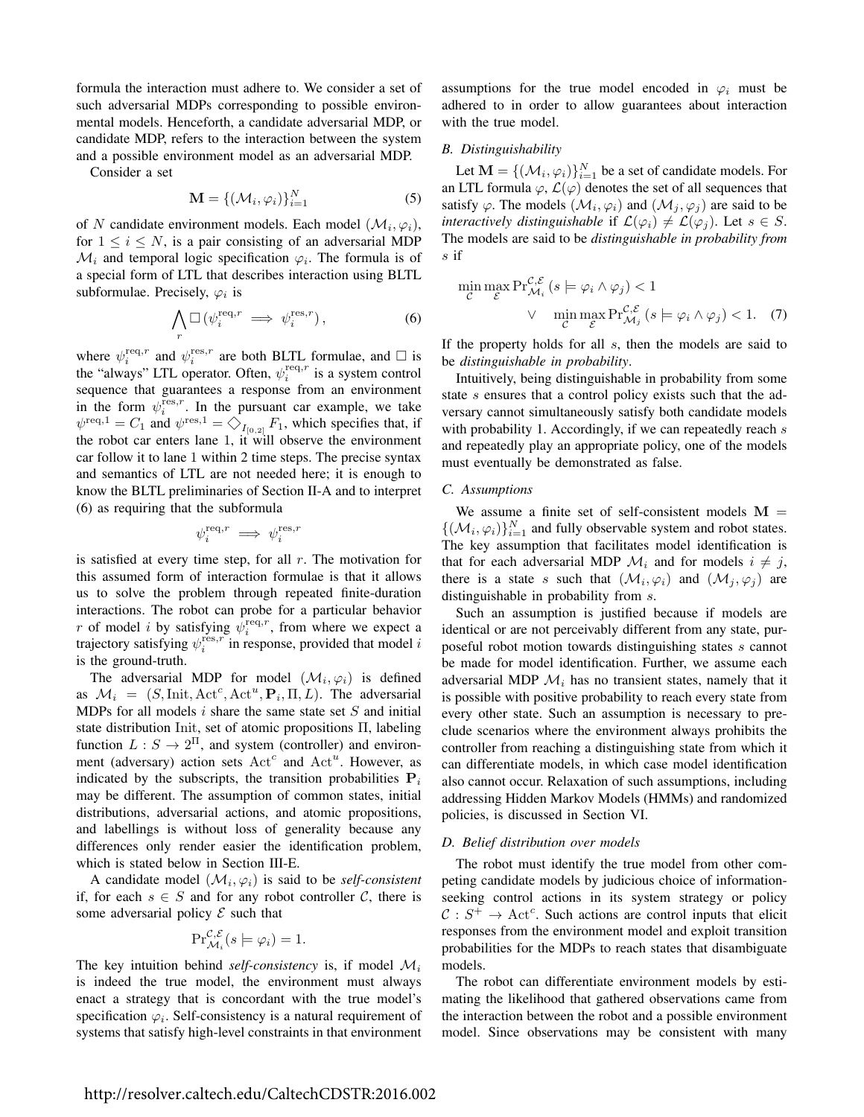formula the interaction must adhere to. We consider a set of such adversarial MDPs corresponding to possible environmental models. Henceforth, a candidate adversarial MDP, or candidate MDP, refers to the interaction between the system and a possible environment model as an adversarial MDP.

Consider a set

$$
\mathbf{M} = \{ (\mathcal{M}_i, \varphi_i) \}_{i=1}^N
$$
 (5)

of N candidate environment models. Each model  $(\mathcal{M}_i, \varphi_i)$ , for  $1 \leq i \leq N$ , is a pair consisting of an adversarial MDP  $\mathcal{M}_i$  and temporal logic specification  $\varphi_i$ . The formula is of a special form of LTL that describes interaction using BLTL subformulae. Precisely,  $\varphi_i$  is

$$
\bigwedge_r \Box \left( \psi_i^{\text{req}, r} \implies \psi_i^{\text{res}, r} \right), \tag{6}
$$

where  $\psi_i^{\text{req}, r}$  and  $\psi_i^{\text{res}, r}$  are both BLTL formulae, and  $\Box$  is the "always" LTL operator. Often,  $\psi_i^{\text{req}, r}$  is a system control sequence that guarantees a response from an environment in the form  $\psi_i^{\text{res},r}$ . In the pursuant car example, we take  $\psi^{\text{req},1} = C_1$  and  $\psi^{\text{res},1} = \bigcirc_{I_{[0,2]}} F_1$ , which specifies that, if the robot car enters lane 1, it will observe the environment car follow it to lane 1 within 2 time steps. The precise syntax and semantics of LTL are not needed here; it is enough to know the BLTL preliminaries of Section II-A and to interpret (6) as requiring that the subformula

$$
\psi_i^{\mathrm{req},r} \implies \psi_i^{\mathrm{res},r}
$$

is satisfied at every time step, for all  $r$ . The motivation for this assumed form of interaction formulae is that it allows us to solve the problem through repeated finite-duration interactions. The robot can probe for a particular behavior r of model i by satisfying  $\psi_i^{\text{req},r}$ , from where we expect a trajectory satisfying  $\psi_i^{\text{res},r}$  in response, provided that model i is the ground-truth.

The adversarial MDP for model  $(\mathcal{M}_i, \varphi_i)$  is defined as  $\mathcal{M}_i = (S, \text{Init}, \text{Act}^c, \text{Act}^u, \mathbf{P}_i, \Pi, L)$ . The adversarial MDPs for all models  $i$  share the same state set  $S$  and initial state distribution Init, set of atomic propositions Π, labeling function  $L: S \to 2^{\Pi}$ , and system (controller) and environment (adversary) action sets  $Act<sup>c</sup>$  and  $Act<sup>u</sup>$ . However, as indicated by the subscripts, the transition probabilities  $P_i$ may be different. The assumption of common states, initial distributions, adversarial actions, and atomic propositions, and labellings is without loss of generality because any differences only render easier the identification problem, which is stated below in Section III-E.

A candidate model  $(\mathcal{M}_i, \varphi_i)$  is said to be *self-consistent* if, for each  $s \in S$  and for any robot controller C, there is some adversarial policy  $\mathcal E$  such that

$$
\Pr_{\mathcal{M}_i}^{\mathcal{C},\mathcal{E}}(s \models \varphi_i) = 1.
$$

The key intuition behind *self-consistency* is, if model  $\mathcal{M}_i$ is indeed the true model, the environment must always enact a strategy that is concordant with the true model's specification  $\varphi_i$ . Self-consistency is a natural requirement of systems that satisfy high-level constraints in that environment assumptions for the true model encoded in  $\varphi_i$  must be adhered to in order to allow guarantees about interaction with the true model.

## *B. Distinguishability*

Let  $\mathbf{M} = \{(\mathcal{M}_i, \varphi_i)\}_{i=1}^N$  be a set of candidate models. For an LTL formula  $\varphi$ ,  $\mathcal{L}(\varphi)$  denotes the set of all sequences that satisfy  $\varphi$ . The models  $(\mathcal{M}_i, \varphi_i)$  and  $(\mathcal{M}_j, \varphi_j)$  are said to be *interactively distinguishable* if  $\mathcal{L}(\varphi_i) \neq \mathcal{L}(\varphi_j)$ . Let  $s \in S$ . The models are said to be *distinguishable in probability from* s if

$$
\min_{\mathcal{C}} \max_{\mathcal{E}} \Pr_{\mathcal{M}_i}^{\mathcal{C}, \mathcal{E}} \left( s \models \varphi_i \land \varphi_j \right) < 1
$$
\n
$$
\lor \min_{\mathcal{C}} \max_{\mathcal{E}} \Pr_{\mathcal{M}_j}^{\mathcal{C}, \mathcal{E}} \left( s \models \varphi_i \land \varphi_j \right) < 1. \tag{7}
$$

If the property holds for all s, then the models are said to be *distinguishable in probability*.

Intuitively, being distinguishable in probability from some state s ensures that a control policy exists such that the adversary cannot simultaneously satisfy both candidate models with probability 1. Accordingly, if we can repeatedly reach s and repeatedly play an appropriate policy, one of the models must eventually be demonstrated as false.

# *C. Assumptions*

We assume a finite set of self-consistent models  $M =$  $\{(\mathcal{M}_i, \varphi_i)\}_{i=1}^N$  and fully observable system and robot states. The key assumption that facilitates model identification is that for each adversarial MDP  $\mathcal{M}_i$  and for models  $i \neq j$ , there is a state s such that  $(\mathcal{M}_i, \varphi_i)$  and  $(\mathcal{M}_j, \varphi_j)$  are distinguishable in probability from s.

Such an assumption is justified because if models are identical or are not perceivably different from any state, purposeful robot motion towards distinguishing states s cannot be made for model identification. Further, we assume each adversarial MDP  $\mathcal{M}_i$  has no transient states, namely that it is possible with positive probability to reach every state from every other state. Such an assumption is necessary to preclude scenarios where the environment always prohibits the controller from reaching a distinguishing state from which it can differentiate models, in which case model identification also cannot occur. Relaxation of such assumptions, including addressing Hidden Markov Models (HMMs) and randomized policies, is discussed in Section VI.

#### *D. Belief distribution over models*

The robot must identify the true model from other competing candidate models by judicious choice of informationseeking control actions in its system strategy or policy  $C: S^+ \to \text{Act}^c$ . Such actions are control inputs that elicit responses from the environment model and exploit transition probabilities for the MDPs to reach states that disambiguate models.

The robot can differentiate environment models by estimating the likelihood that gathered observations came from the interaction between the robot and a possible environment model. Since observations may be consistent with many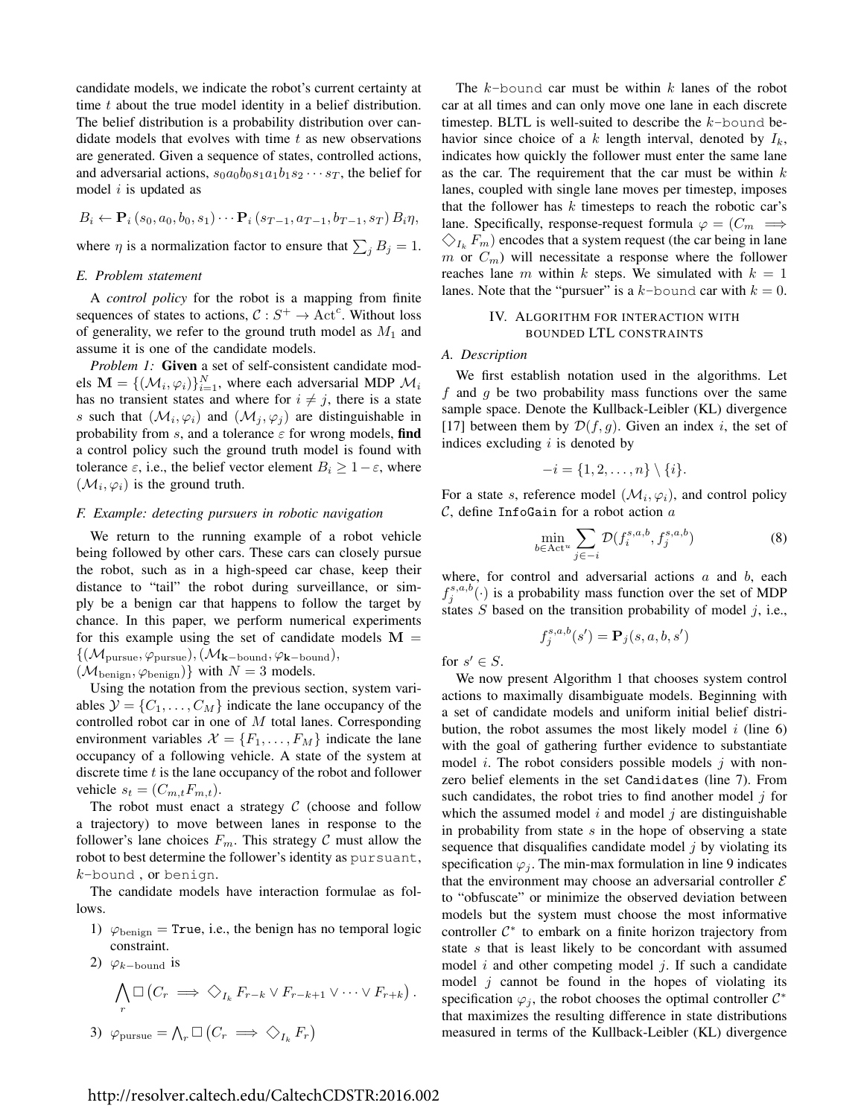candidate models, we indicate the robot's current certainty at time  $t$  about the true model identity in a belief distribution. The belief distribution is a probability distribution over candidate models that evolves with time  $t$  as new observations are generated. Given a sequence of states, controlled actions, and adversarial actions,  $s_0a_0b_0s_1a_1b_1s_2\cdots s_T$ , the belief for model  $i$  is updated as

$$
B_i \leftarrow \mathbf{P}_i(s_0, a_0, b_0, s_1) \cdots \mathbf{P}_i(s_{T-1}, a_{T-1}, b_{T-1}, s_T) B_i \eta,
$$

where  $\eta$  is a normalization factor to ensure that  $\sum_j B_j = 1$ .

#### *E. Problem statement*

A *control policy* for the robot is a mapping from finite sequences of states to actions,  $C : S^+ \to \text{Act}^c$ . Without loss of generality, we refer to the ground truth model as  $M_1$  and assume it is one of the candidate models.

*Problem 1:* Given a set of self-consistent candidate models  $\mathbf{M} = \{(\mathcal{M}_i, \varphi_i)\}_{i=1}^N$ , where each adversarial MDP  $\mathcal{M}_i$ has no transient states and where for  $i \neq j$ , there is a state s such that  $(\mathcal{M}_i, \varphi_i)$  and  $(\mathcal{M}_j, \varphi_j)$  are distinguishable in probability from s, and a tolerance  $\varepsilon$  for wrong models, find a control policy such the ground truth model is found with tolerance  $\varepsilon$ , i.e., the belief vector element  $B_i \geq 1 - \varepsilon$ , where  $(\mathcal{M}_i, \varphi_i)$  is the ground truth.

## *F. Example: detecting pursuers in robotic navigation*

We return to the running example of a robot vehicle being followed by other cars. These cars can closely pursue the robot, such as in a high-speed car chase, keep their distance to "tail" the robot during surveillance, or simply be a benign car that happens to follow the target by chance. In this paper, we perform numerical experiments for this example using the set of candidate models  $M =$  $\{(\mathcal{M}_{\text{pursue}}, \varphi_{\text{pursue}}),(\mathcal{M}_{\mathbf{k}-\text{bound}}, \varphi_{\mathbf{k}-\text{bound}}),\}$  $(\mathcal{M}_{\text{benign}}, \varphi_{\text{benign}})$  with  $N = 3$  models.

Using the notation from the previous section, system variables  $\mathcal{Y} = \{C_1, \ldots, C_M\}$  indicate the lane occupancy of the controlled robot car in one of M total lanes. Corresponding environment variables  $\mathcal{X} = \{F_1, \ldots, F_M\}$  indicate the lane occupancy of a following vehicle. A state of the system at discrete time  $t$  is the lane occupancy of the robot and follower vehicle  $s_t = (C_{m,t}F_{m,t}).$ 

The robot must enact a strategy  $C$  (choose and follow a trajectory) to move between lanes in response to the follower's lane choices  $F_m$ . This strategy C must allow the robot to best determine the follower's identity as pursuant, k-bound , or benign.

The candidate models have interaction formulae as follows.

- 1)  $\varphi_{\text{benign}} = \text{True}$ , i.e., the benign has no temporal logic constraint.
- 2)  $\varphi_{k-\text{bound}}$  is

$$
\bigwedge_r \Box (C_r \implies \Diamond_{I_k} F_{r-k} \lor F_{r-k+1} \lor \cdots \lor F_{r+k}).
$$
  
3)  $\varphi_{\text{pursue}} = \bigwedge_r \Box (C_r \implies \Diamond_{I_k} F_r)$ 

The  $k$ -bound car must be within  $k$  lanes of the robot car at all times and can only move one lane in each discrete timestep. BLTL is well-suited to describe the  $k$ -bound behavior since choice of a k length interval, denoted by  $I_k$ , indicates how quickly the follower must enter the same lane as the car. The requirement that the car must be within  $k$ lanes, coupled with single lane moves per timestep, imposes that the follower has  $k$  timesteps to reach the robotic car's lane. Specifically, response-request formula  $\varphi = (C_m \implies$  $\bigcirc_{I_k} F_m$ ) encodes that a system request (the car being in lane m or  $C_m$ ) will necessitate a response where the follower reaches lane m within k steps. We simulated with  $k = 1$ lanes. Note that the "pursuer" is a k-bound car with  $k = 0$ .

## IV. ALGORITHM FOR INTERACTION WITH BOUNDED LTL CONSTRAINTS

### *A. Description*

We first establish notation used in the algorithms. Let  $f$  and  $g$  be two probability mass functions over the same sample space. Denote the Kullback-Leibler (KL) divergence [17] between them by  $\mathcal{D}(f,g)$ . Given an index i, the set of indices excluding  $i$  is denoted by

$$
-i = \{1, 2, \ldots, n\} \setminus \{i\}.
$$

For a state s, reference model  $(\mathcal{M}_i, \varphi_i)$ , and control policy  $\mathcal{C}$ , define InfoGain for a robot action  $a$ 

$$
\min_{b \in \text{Act}^u} \sum_{j \in -i} \mathcal{D}(f_i^{s,a,b}, f_j^{s,a,b}) \tag{8}
$$

where, for control and adversarial actions  $a$  and  $b$ , each  $f_j^{s,a,b}(\cdot)$  is a probability mass function over the set of MDP states  $S$  based on the transition probability of model  $j$ , i.e.,

$$
f_j^{s,a,b}(s') = \mathbf{P}_j(s,a,b,s')
$$

for  $s' \in S$ .

We now present Algorithm 1 that chooses system control actions to maximally disambiguate models. Beginning with a set of candidate models and uniform initial belief distribution, the robot assumes the most likely model  $i$  (line 6) with the goal of gathering further evidence to substantiate model *i*. The robot considers possible models *j* with nonzero belief elements in the set Candidates (line 7). From such candidates, the robot tries to find another model  $i$  for which the assumed model  $i$  and model  $j$  are distinguishable in probability from state  $s$  in the hope of observing a state sequence that disqualifies candidate model  $j$  by violating its specification  $\varphi_i$ . The min-max formulation in line 9 indicates that the environment may choose an adversarial controller  $\mathcal E$ to "obfuscate" or minimize the observed deviation between models but the system must choose the most informative controller  $C^*$  to embark on a finite horizon trajectory from state s that is least likely to be concordant with assumed model  $i$  and other competing model  $j$ . If such a candidate model  $i$  cannot be found in the hopes of violating its specification  $\varphi_j$ , the robot chooses the optimal controller  $\mathcal{C}^*$ that maximizes the resulting difference in state distributions measured in terms of the Kullback-Leibler (KL) divergence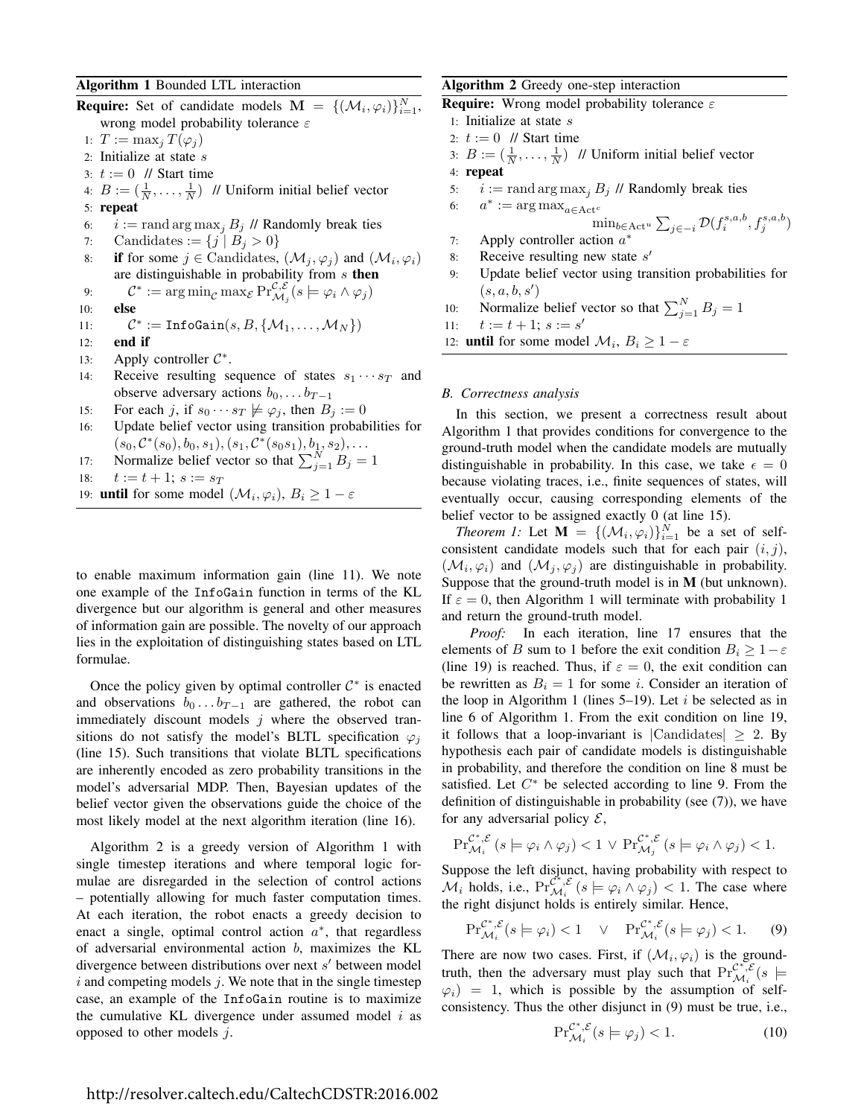## Algorithm 1 Bounded LTL interaction

**Require:** Set of candidate models  $\mathbf{M} = \{(\mathcal{M}_i, \varphi_i)\}_{i=1}^N$ , wrong model probability tolerance  $\varepsilon$ 

- 1:  $T := \max_i T(\varphi_i)$
- 2: Initialize at state  $s$
- 3:  $t := 0$  // Start time
- 4:  $B := (\frac{1}{N}, \dots, \frac{1}{N})$  // Uniform initial belief vector
- 5: repeat
- 6:  $i := \text{rand arg max}_i B_j$  // Randomly break ties
- 7: Candidates :=  $\{j \mid B_j > 0\}$
- 8: if for some  $j \in$  Candidates,  $(\mathcal{M}_j, \varphi_j)$  and  $(\mathcal{M}_i, \varphi_i)$ are distinguishable in probability from  $s$  then

9: 
$$
\mathcal{C}^* := \arg\min_{\mathcal{C}} \max_{\mathcal{E}} \Pr_{\mathcal{M}_j}^{\mathcal{C},\mathcal{E}}(s \models \varphi_i \land \varphi_j)
$$

10: else

11: 
$$
\mathcal{C}^* := \text{InfoGain}(s, B, \{ \mathcal{M}_1, \dots, \mathcal{M}_N \})
$$

- 12: end if
- 13: Apply controller  $C^*$ .
- 14: Receive resulting sequence of states  $s_1 \cdots s_T$  and observe adversary actions  $b_0, \ldots b_{T-1}$
- 15: For each j, if  $s_0 \cdots s_T \not\models \varphi_j$ , then  $B_j := 0$
- 16: Update belief vector using transition probabilities for  $(s_0, \mathcal{C}^*(s_0), b_0, s_1), (s_1, \mathcal{C}^*(s_0s_1), b_1, s_2), \ldots$

17: Normalize belief vector so that 
$$
\sum_{j=1}^{N} B_j = 1
$$

18: 
$$
t := t + 1
$$
;  $s := s_T$ 

19: **until** for some model  $(\mathcal{M}_i, \varphi_i), B_i \geq 1 - \varepsilon$ 

to enable maximum information gain (line 11). We note one example of the InfoGain function in terms of the KL divergence but our algorithm is general and other measures of information gain are possible. The novelty of our approach lies in the exploitation of distinguishing states based on LTL formulae.

Once the policy given by optimal controller  $C^*$  is enacted and observations  $b_0 \dots b_{T-1}$  are gathered, the robot can immediately discount models  $j$  where the observed transitions do not satisfy the model's BLTL specification  $\varphi_i$ (line 15). Such transitions that violate BLTL specifications are inherently encoded as zero probability transitions in the model's adversarial MDP. Then, Bayesian updates of the belief vector given the observations guide the choice of the most likely model at the next algorithm iteration (line 16).

Algorithm 2 is a greedy version of Algorithm 1 with single timestep iterations and where temporal logic formulae are disregarded in the selection of control actions – potentially allowing for much faster computation times. At each iteration, the robot enacts a greedy decision to enact a single, optimal control action  $a^*$ , that regardless of adversarial environmental action b, maximizes the KL divergence between distributions over next s' between model  $i$  and competing models  $j$ . We note that in the single timestep case, an example of the InfoGain routine is to maximize the cumulative KL divergence under assumed model  $i$  as opposed to other models  $j$ .

## Algorithm 2 Greedy one-step interaction

**Require:** Wrong model probability tolerance  $\varepsilon$ 

- 1: Initialize at state s
- 2:  $t := 0$  // Start time
- 3:  $B := (\frac{1}{N}, \dots, \frac{1}{N})$  // Uniform initial belief vector
- 4: repeat
- 5:  $i := \text{rand arg max}_i B_j$  // Randomly break ties
- 6:  $a^* := \arg \max_{a \in \text{Act}^c}$  $\min_{b\in \text{Act}^u}\sum_{j\in -i}\mathcal{D}(f_i^{s,a,b},f_j^{s,a,b})$
- 7: Apply controller action  $a^*$
- 8: Receive resulting new state  $s'$
- 9: Update belief vector using transition probabilities for  $(s, a, b, s')$
- 10: Normalize belief vector so that  $\sum_{j=1}^{N} B_j = 1$

11:  $t := t + 1; s := s'$ 

12: **until** for some model  $\mathcal{M}_i$ ,  $B_i \geq 1 - \varepsilon$ 

#### *B. Correctness analysis*

In this section, we present a correctness result about Algorithm 1 that provides conditions for convergence to the ground-truth model when the candidate models are mutually distinguishable in probability. In this case, we take  $\epsilon = 0$ because violating traces, i.e., finite sequences of states, will eventually occur, causing corresponding elements of the belief vector to be assigned exactly 0 (at line 15).

*Theorem 1:* Let  $\mathbf{M} = \{(\mathcal{M}_i, \varphi_i)\}_{i=1}^N$  be a set of selfconsistent candidate models such that for each pair  $(i, j)$ ,  $(\mathcal{M}_i, \varphi_i)$  and  $(\mathcal{M}_j, \varphi_j)$  are distinguishable in probability. Suppose that the ground-truth model is in M (but unknown). If  $\varepsilon = 0$ , then Algorithm 1 will terminate with probability 1 and return the ground-truth model.

*Proof:* In each iteration, line 17 ensures that the elements of B sum to 1 before the exit condition  $B_i \geq 1-\varepsilon$ (line 19) is reached. Thus, if  $\varepsilon = 0$ , the exit condition can be rewritten as  $B_i = 1$  for some *i*. Consider an iteration of the loop in Algorithm 1 (lines  $5-19$ ). Let *i* be selected as in line 6 of Algorithm 1. From the exit condition on line 19, it follows that a loop-invariant is  $|{\rm C}$ andidates $| \geq 2$ . By hypothesis each pair of candidate models is distinguishable in probability, and therefore the condition on line 8 must be satisfied. Let  $C^*$  be selected according to line 9. From the definition of distinguishable in probability (see (7)), we have for any adversarial policy  $\mathcal{E}$ ,

$$
\mathrm{Pr}^{\mathcal{C}^*,\mathcal{E}}_{\mathcal{M}_i}(s \models \varphi_i \land \varphi_j) < 1 \lor \mathrm{Pr}^{\mathcal{C}^*,\mathcal{E}}_{\mathcal{M}_j}(s \models \varphi_i \land \varphi_j) < 1.
$$

Suppose the left disjunct, having probability with respect to  $\mathcal{M}_i$  holds, i.e.,  $\Pr_{\mathcal{M}_i}^{\mathcal{C}^*,\mathcal{E}}(s \models \varphi_i \land \varphi_j) < 1$ . The case where the right disjunct holds is entirely similar. Hence,

$$
\Pr_{\mathcal{M}_i}^{\mathcal{C}^*,\mathcal{E}}(s \models \varphi_i) < 1 \quad \lor \quad \Pr_{\mathcal{M}_i}^{\mathcal{C}^*,\mathcal{E}}(s \models \varphi_j) < 1. \tag{9}
$$

There are now two cases. First, if  $(\mathcal{M}_i, \varphi_i)$  is the groundtruth, then the adversary must play such that  $Pr_{\mathcal{M}_i}^{C^*, \mathcal{E}}(s)$  $\varphi_i$ ) = 1, which is possible by the assumption of selfconsistency. Thus the other disjunct in (9) must be true, i.e.,

$$
\Pr_{\mathcal{M}_i}^{\mathcal{C}^*, \mathcal{E}}(s \models \varphi_j) < 1. \tag{10}
$$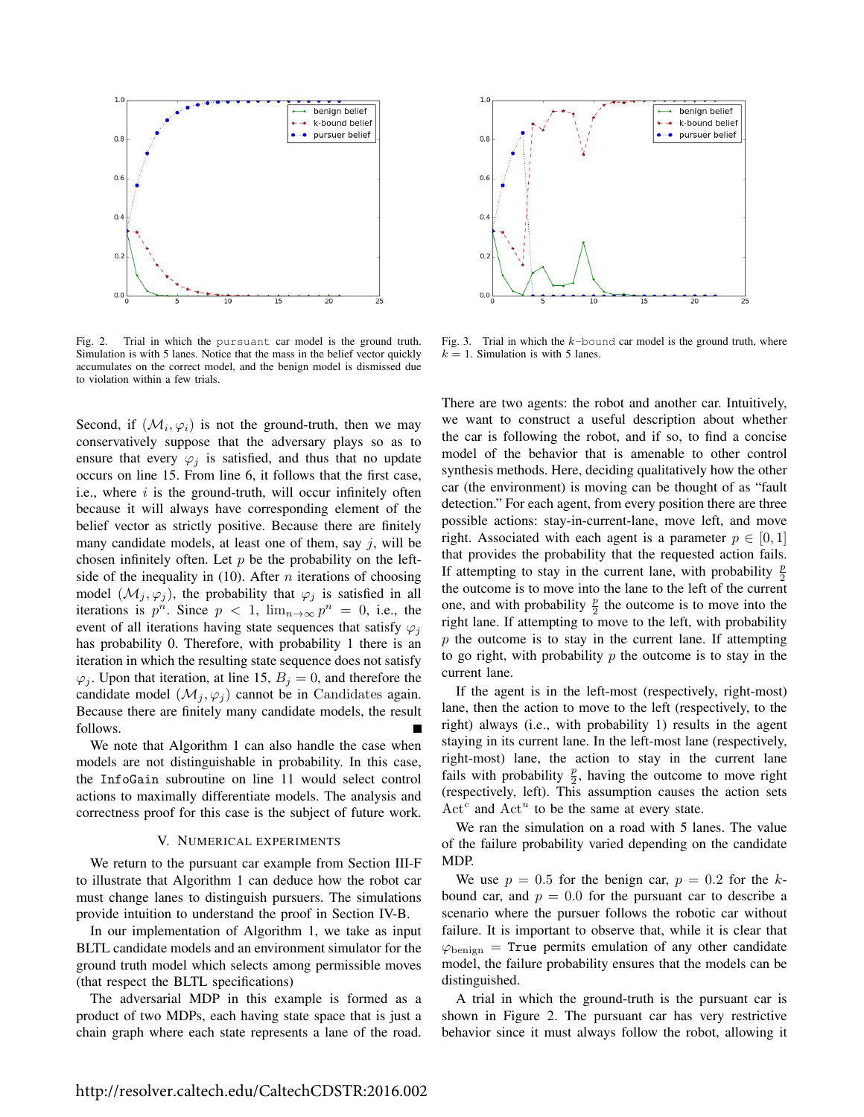

Fig. 2. Trial in which the pursuant car model is the ground truth. Simulation is with 5 lanes. Notice that the mass in the belief vector quickly accumulates on the correct model, and the benign model is dismissed due to violation within a few trials.

Second, if  $(\mathcal{M}_i, \varphi_i)$  is not the ground-truth, then we may conservatively suppose that the adversary plays so as to ensure that every  $\varphi_i$  is satisfied, and thus that no update occurs on line 15. From line 6, it follows that the first case, i.e., where  $i$  is the ground-truth, will occur infinitely often because it will always have corresponding element of the belief vector as strictly positive. Because there are finitely many candidate models, at least one of them, say  $j$ , will be chosen infinitely often. Let  $p$  be the probability on the leftside of the inequality in (10). After *n* iterations of choosing model  $(\mathcal{M}_i, \varphi_i)$ , the probability that  $\varphi_i$  is satisfied in all iterations is  $p^n$ . Since  $p < 1$ ,  $\lim_{n \to \infty} p^n = 0$ , i.e., the event of all iterations having state sequences that satisfy  $\varphi_i$ has probability 0. Therefore, with probability 1 there is an iteration in which the resulting state sequence does not satisfy  $\varphi_j$ . Upon that iteration, at line 15,  $B_j = 0$ , and therefore the candidate model  $(\mathcal{M}_i, \varphi_i)$  cannot be in Candidates again. Because there are finitely many candidate models, the result follows.

We note that Algorithm 1 can also handle the case when models are not distinguishable in probability. In this case, the InfoGain subroutine on line 11 would select control actions to maximally differentiate models. The analysis and correctness proof for this case is the subject of future work.

#### V. NUMERICAL EXPERIMENTS

We return to the pursuant car example from Section III-F to illustrate that Algorithm 1 can deduce how the robot car must change lanes to distinguish pursuers. The simulations provide intuition to understand the proof in Section IV-B.

In our implementation of Algorithm 1, we take as input BLTL candidate models and an environment simulator for the ground truth model which selects among permissible moves (that respect the BLTL specifications)

The adversarial MDP in this example is formed as a product of two MDPs, each having state space that is just a chain graph where each state represents a lane of the road.



Fig. 3. Trial in which the  $k$ -bound car model is the ground truth, where  $k = 1$ . Simulation is with 5 lanes.

There are two agents: the robot and another car. Intuitively, we want to construct a useful description about whether the car is following the robot, and if so, to find a concise model of the behavior that is amenable to other control synthesis methods. Here, deciding qualitatively how the other car (the environment) is moving can be thought of as "fault detection." For each agent, from every position there are three possible actions: stay-in-current-lane, move left, and move right. Associated with each agent is a parameter  $p \in [0, 1]$ that provides the probability that the requested action fails. If attempting to stay in the current lane, with probability  $\frac{p}{2}$ the outcome is to move into the lane to the left of the current one, and with probability  $\frac{p}{2}$  the outcome is to move into the right lane. If attempting to move to the left, with probability  $p$  the outcome is to stay in the current lane. If attempting to go right, with probability  $p$  the outcome is to stay in the current lane.

If the agent is in the left-most (respectively, right-most) lane, then the action to move to the left (respectively, to the right) always (i.e., with probability 1) results in the agent staying in its current lane. In the left-most lane (respectively, right-most) lane, the action to stay in the current lane fails with probability  $\frac{p}{2}$ , having the outcome to move right (respectively, left). This assumption causes the action sets  $Act<sup>c</sup>$  and  $Act<sup>u</sup>$  to be the same at every state.

We ran the simulation on a road with 5 lanes. The value of the failure probability varied depending on the candidate MDP.

We use  $p = 0.5$  for the benign car,  $p = 0.2$  for the kbound car, and  $p = 0.0$  for the pursuant car to describe a scenario where the pursuer follows the robotic car without failure. It is important to observe that, while it is clear that  $\varphi_{\text{benign}} =$  True permits emulation of any other candidate model, the failure probability ensures that the models can be distinguished.

A trial in which the ground-truth is the pursuant car is shown in Figure 2. The pursuant car has very restrictive behavior since it must always follow the robot, allowing it